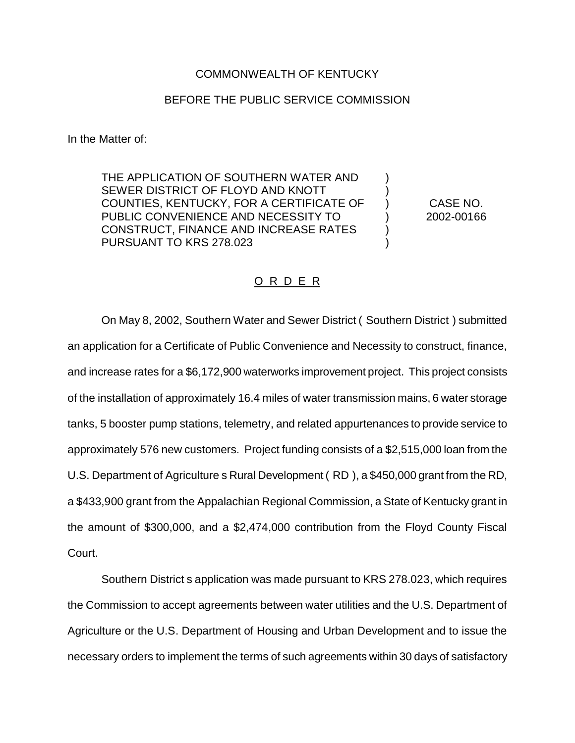## COMMONWEALTH OF KENTUCKY

## BEFORE THE PUBLIC SERVICE COMMISSION

In the Matter of:

THE APPLICATION OF SOUTHERN WATER AND SEWER DISTRICT OF FLOYD AND KNOTT COUNTIES, KENTUCKY, FOR A CERTIFICATE OF PUBLIC CONVENIENCE AND NECESSITY TO CONSTRUCT, FINANCE AND INCREASE RATES PURSUANT TO KRS 278.023

CASE NO. 2002-00166

) ) ) ) ) )

## O R D E R

On May 8, 2002, Southern Water and Sewer District ( Southern District ) submitted an application for a Certificate of Public Convenience and Necessity to construct, finance, and increase rates for a \$6,172,900 waterworks improvement project. This project consists of the installation of approximately 16.4 miles of water transmission mains, 6 water storage tanks, 5 booster pump stations, telemetry, and related appurtenances to provide service to approximately 576 new customers. Project funding consists of a \$2,515,000 loan from the U.S. Department of Agriculture s Rural Development ( RD ), a \$450,000 grant from the RD, a \$433,900 grant from the Appalachian Regional Commission, a State of Kentucky grant in the amount of \$300,000, and a \$2,474,000 contribution from the Floyd County Fiscal Court.

Southern District s application was made pursuant to KRS 278.023, which requires the Commission to accept agreements between water utilities and the U.S. Department of Agriculture or the U.S. Department of Housing and Urban Development and to issue the necessary orders to implement the terms of such agreements within 30 days of satisfactory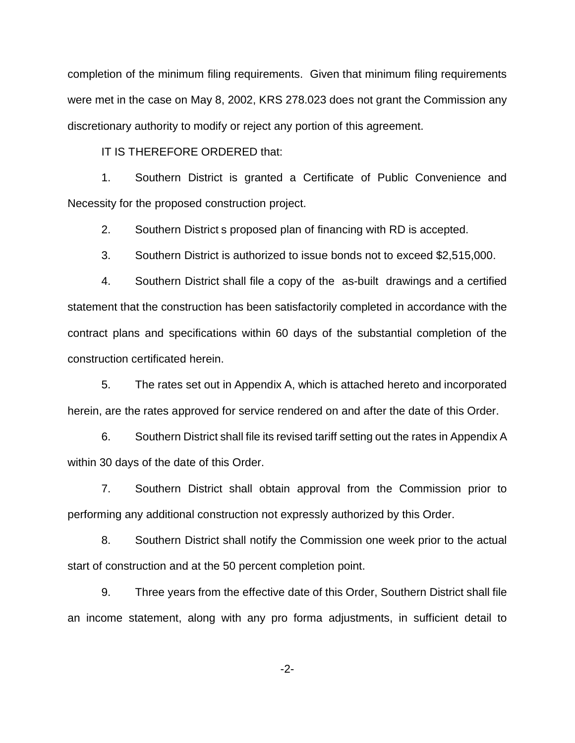completion of the minimum filing requirements. Given that minimum filing requirements were met in the case on May 8, 2002, KRS 278.023 does not grant the Commission any discretionary authority to modify or reject any portion of this agreement.

IT IS THEREFORE ORDERED that:

1. Southern District is granted a Certificate of Public Convenience and Necessity for the proposed construction project.

2. Southern District s proposed plan of financing with RD is accepted.

3. Southern District is authorized to issue bonds not to exceed \$2,515,000.

4. Southern District shall file a copy of the as-built drawings and a certified statement that the construction has been satisfactorily completed in accordance with the contract plans and specifications within 60 days of the substantial completion of the construction certificated herein.

5. The rates set out in Appendix A, which is attached hereto and incorporated herein, are the rates approved for service rendered on and after the date of this Order.

6. Southern District shall file its revised tariff setting out the rates in Appendix A within 30 days of the date of this Order.

7. Southern District shall obtain approval from the Commission prior to performing any additional construction not expressly authorized by this Order.

8. Southern District shall notify the Commission one week prior to the actual start of construction and at the 50 percent completion point.

9. Three years from the effective date of this Order, Southern District shall file an income statement, along with any pro forma adjustments, in sufficient detail to

-2-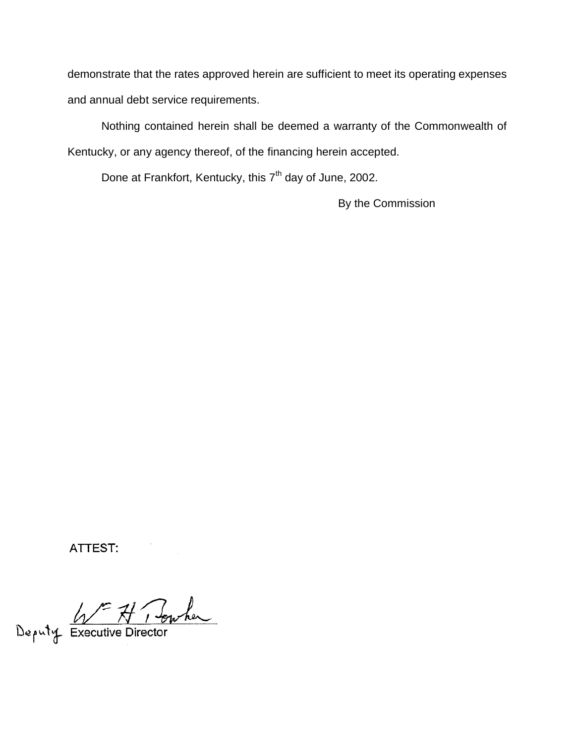demonstrate that the rates approved herein are sufficient to meet its operating expenses and annual debt service requirements.

Nothing contained herein shall be deemed a warranty of the Commonwealth of Kentucky, or any agency thereof, of the financing herein accepted.

Done at Frankfort, Kentucky, this 7<sup>th</sup> day of June, 2002.

By the Commission

ATTEST:

Deputy Executive Director